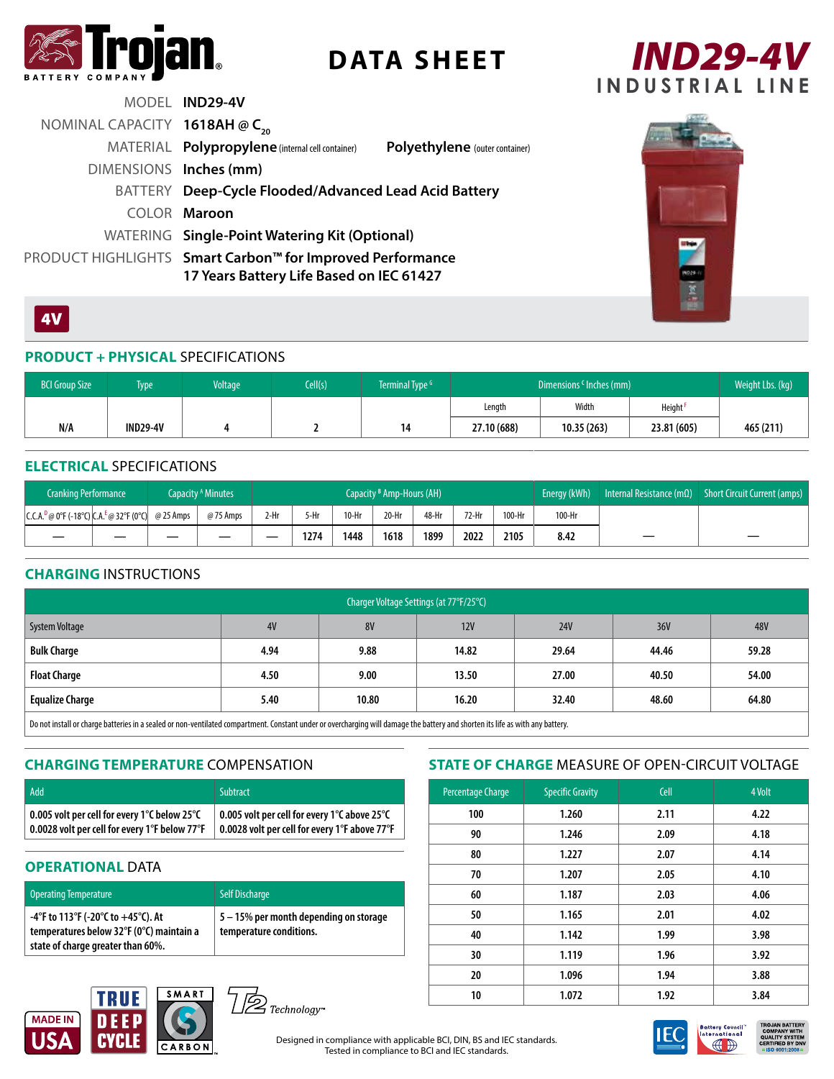

# **DATA SHEET**



|                                           | MODEL IND29-4V                                                                                        |                                       |
|-------------------------------------------|-------------------------------------------------------------------------------------------------------|---------------------------------------|
| NOMINAL CAPACITY 1618AH @ C <sub>20</sub> |                                                                                                       |                                       |
|                                           | MATERIAL Polypropylene (internal cell container)                                                      | <b>Polyethylene</b> (outer container) |
| DIMENSIONS Inches (mm)                    |                                                                                                       |                                       |
|                                           | BATTERY Deep-Cycle Flooded/Advanced Lead Acid Battery                                                 |                                       |
|                                           | COLOR Maroon                                                                                          |                                       |
|                                           | WATERING Single-Point Watering Kit (Optional)                                                         |                                       |
|                                           | PRODUCT HIGHLIGHTS Smart Carbon™ for Improved Performance<br>17 Years Battery Life Based on IEC 61427 |                                       |



### 4V

### **PRODUCT + PHYSICAL** SPECIFICATIONS

| <b>BCI Group Size</b> | Type <sup>1</sup> | Voltage | [ell(s)] | Terminal Type <sup>G</sup> | Dimensions <sup>c</sup> Inches (mm) |            |             | Weight Lbs. (kg) |
|-----------------------|-------------------|---------|----------|----------------------------|-------------------------------------|------------|-------------|------------------|
|                       |                   |         |          |                            | Length                              | Width      | Height      |                  |
| N/A                   | <b>IND29-4V</b>   |         |          | 14                         | 27.10 (688)                         | 10.35(263) | 23.81 (605) | 465 (211)        |

### **ELECTRICAL** SPECIFICATIONS

| <b>Cranking Performance</b>                                                   |  | Capacity <sup>A</sup> Minutes | Capacity <sup>B</sup> Amp-Hours (AH) |        |         |       | Energy (kWh) | Internal Resistance (m $\Omega$ ) | Short Circuit Current (amps) |        |   |   |
|-------------------------------------------------------------------------------|--|-------------------------------|--------------------------------------|--------|---------|-------|--------------|-----------------------------------|------------------------------|--------|---|---|
| $ C.C.A.^D@0^{\circ}F(-18^{\circ}C) CA.^E@32^{\circ}F(0^{\circ}C) $ @ 25 Amps |  | @75 Amps                      | 2-Hr                                 | $5-Hr$ | $10-Hr$ | 20-Hr | 48-Hr        | 72-Hr                             | 100-Hr                       | 100-Hr |   |   |
|                                                                               |  |                               | _                                    | 1274   | 1448    | 1618  | 1899         | 2022                              | 2105                         | 8.42   | – | – |

### **CHARGING** INSTRUCTIONS

| Charger Voltage Settings (at 77°F/25°C)                                                                                                                                                                                           |      |           |       |            |       |       |  |  |  |
|-----------------------------------------------------------------------------------------------------------------------------------------------------------------------------------------------------------------------------------|------|-----------|-------|------------|-------|-------|--|--|--|
| System Voltage                                                                                                                                                                                                                    | 4V   | <b>8V</b> | 12V   | <b>24V</b> | 36V   | 48V   |  |  |  |
| <b>Bulk Charge</b>                                                                                                                                                                                                                | 4.94 | 9.88      | 14.82 | 29.64      | 44.46 | 59.28 |  |  |  |
| <b>Float Charge</b>                                                                                                                                                                                                               | 4.50 | 9.00      | 13.50 | 27.00      | 40.50 | 54.00 |  |  |  |
| <b>Equalize Charge</b>                                                                                                                                                                                                            | 5.40 | 10.80     | 16.20 | 32.40      | 48.60 | 64.80 |  |  |  |
| $\mathsf{I}$ . As a constructed by the construction of the complete of the construction of the construction of the construction of the construction of the construction of the construction of the construction of the constructi |      |           |       |            |       |       |  |  |  |

rge batteries in a sealed or non-ventilated compartment. Constant under or overcharging will damage the battery and shorten its life as with any battery.

### **CHARGING TEMPERATURE** COMPENSATION

| Add                                                        | <b>Subtract</b>                               |
|------------------------------------------------------------|-----------------------------------------------|
| $\mid$ 0.005 volt per cell for every 1°C below 25°C $\mid$ | 0.005 volt per cell for every 1°C above 25°C  |
| 0.0028 volt per cell for every 1°F below 77°F              | 0.0028 volt per cell for every 1°F above 77°F |

### **OPERATIONAL DATA**

| <b>Operating Temperature</b>                                                                                           | <b>Self Discharge</b>                                             |
|------------------------------------------------------------------------------------------------------------------------|-------------------------------------------------------------------|
| -4°F to 113°F (-20°C to $+45$ °C). At<br>temperatures below 32°F (0°C) maintain a<br>state of charge greater than 60%. | 5 - 15% per month depending on storage<br>temperature conditions. |

### **STATE OF CHARGE** MEASURE OF OPEN-CIRCUIT VOLTAGE

| Percentage Charge | <b>Specific Gravity</b> | Cell | 4 Volt |  |
|-------------------|-------------------------|------|--------|--|
| 100               | 1.260                   | 2.11 | 4.22   |  |
| 90                | 1.246                   | 2.09 | 4.18   |  |
| 80                | 1.227                   | 2.07 | 4.14   |  |
| 70                | 1.207                   | 2.05 | 4.10   |  |
| 60                | 1.187                   | 2.03 | 4.06   |  |
| 50                | 1.165                   | 2.01 | 4.02   |  |
| 40                | 1.142                   | 1.99 | 3.98   |  |
| 30                | 1.119                   | 1.96 | 3.92   |  |
| 20                | 1.096                   | 1.94 | 3.88   |  |
| 10                | 1.072                   | 1.92 | 3.84   |  |





Designed in compliance with applicable BCI, DIN, BS and IEC standards. Tested in compliance to BCI and IEC standards.



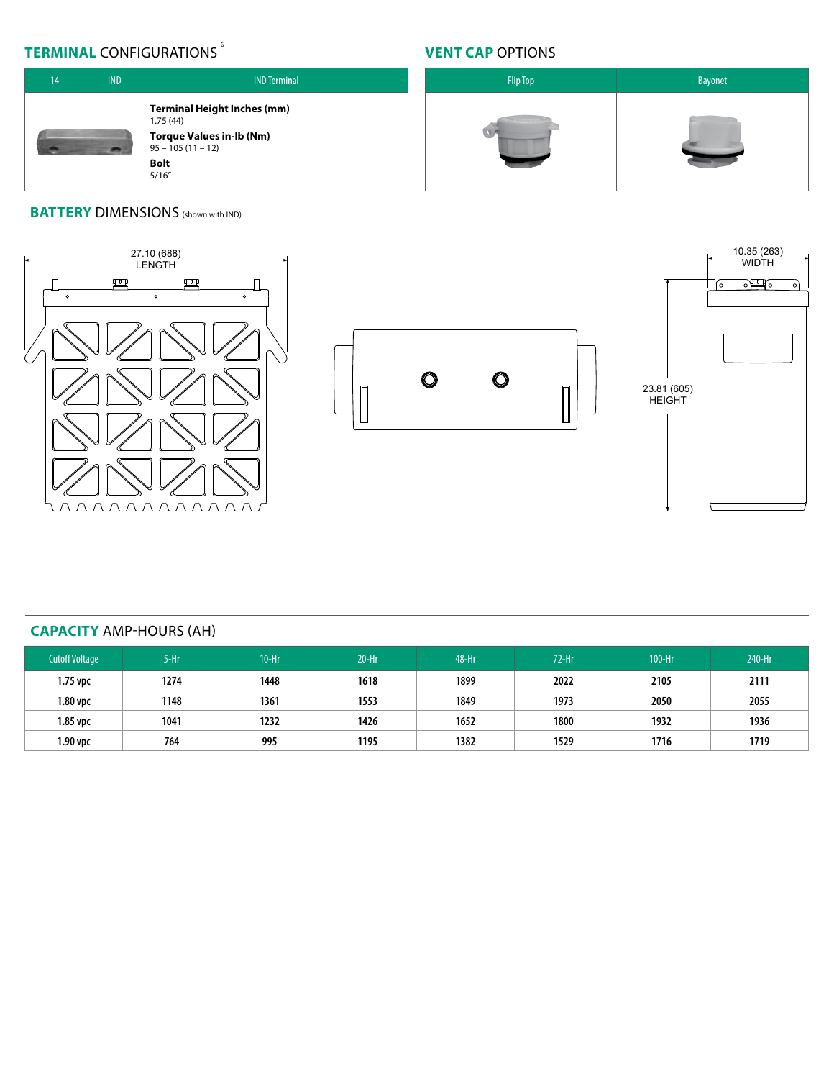## **TERMINAL CONFIGURATIONS**

### **VENT CAP** OPTIONS



### **BATTERY DIMENSIONS** (shown with IND)







### **CAPACITY** AMP-HOURS (AH)

| <b>Cutoff Voltage</b> | $5-Hr$ | $10-Hr$ | $20-Hr$ | 48-Hr | $72-Hr$ | 100-Hr | 240-Hr |
|-----------------------|--------|---------|---------|-------|---------|--------|--------|
| 1.75 vpc              | 1274   | 1448    | 1618    | 1899  | 2022    | 2105   | 2111   |
| 1.80 vpc              | 1148   | 1361    | 1553    | 1849  | 1973    | 2050   | 2055   |
| 1.85 vpc              | 1041   | 1232    | 1426    | 1652  | 1800    | 1932   | 1936   |
| 1.90 vpc              | 764    | 995     | 1195    | 1382  | 1529    | 1716   | 1719   |